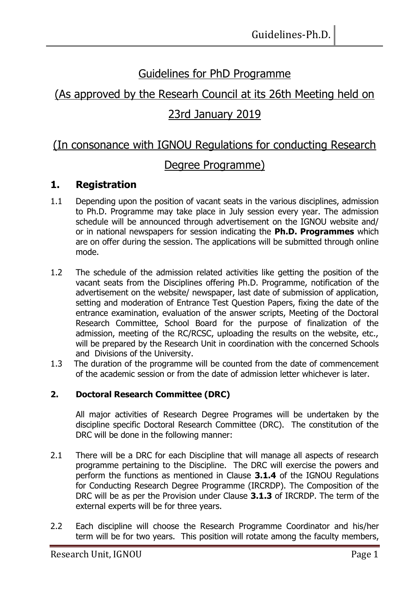# Guidelines for PhD Programme

# (As approved by the Researh Council at its 26th Meeting held on 23rd January 2019

## (In consonance with IGNOU Regulations for conducting Research

### Degree Programme)

### **1. Registration**

- 1.1 Depending upon the position of vacant seats in the various disciplines, admission to Ph.D. Programme may take place in July session every year. The admission schedule will be announced through advertisement on the IGNOU website and/ or in national newspapers for session indicating the **Ph.D. Programmes** which are on offer during the session. The applications will be submitted through online mode.
- 1.2 The schedule of the admission related activities like getting the position of the vacant seats from the Disciplines offering Ph.D. Programme, notification of the advertisement on the website/ newspaper, last date of submission of application, setting and moderation of Entrance Test Question Papers, fixing the date of the entrance examination, evaluation of the answer scripts, Meeting of the Doctoral Research Committee, School Board for the purpose of finalization of the admission, meeting of the RC/RCSC, uploading the results on the website, etc., will be prepared by the Research Unit in coordination with the concerned Schools and Divisions of the University.
- 1.3 The duration of the programme will be counted from the date of commencement of the academic session or from the date of admission letter whichever is later.

### **2. Doctoral Research Committee (DRC)**

All major activities of Research Degree Programes will be undertaken by the discipline specific Doctoral Research Committee (DRC). The constitution of the DRC will be done in the following manner:

- 2.1 There will be a DRC for each Discipline that will manage all aspects of research programme pertaining to the Discipline. The DRC will exercise the powers and perform the functions as mentioned in Clause **3.1.4** of the IGNOU Regulations for Conducting Research Degree Programme (IRCRDP). The Composition of the DRC will be as per the Provision under Clause **3.1.3** of IRCRDP. The term of the external experts will be for three years.
- 2.2 Each discipline will choose the Research Programme Coordinator and his/her term will be for two years. This position will rotate among the faculty members,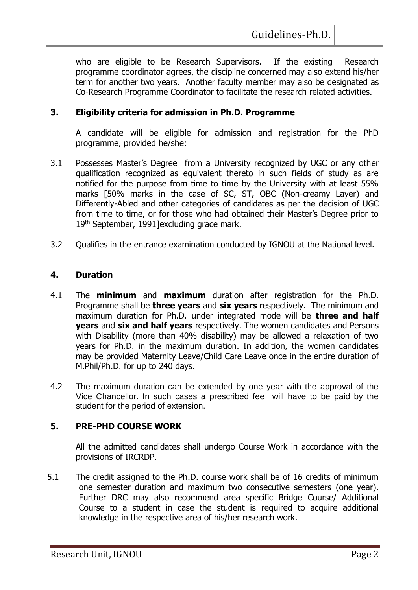who are eligible to be Research Supervisors. If the existing Research programme coordinator agrees, the discipline concerned may also extend his/her term for another two years. Another faculty member may also be designated as Co-Research Programme Coordinator to facilitate the research related activities.

#### **3. Eligibility criteria for admission in Ph.D. Programme**

A candidate will be eligible for admission and registration for the PhD programme, provided he/she:

- 3.1 Possesses Master's Degree from a University recognized by UGC or any other qualification recognized as equivalent thereto in such fields of study as are notified for the purpose from time to time by the University with at least 55% marks [50% marks in the case of SC, ST, OBC (Non-creamy Layer) and Differently-Abled and other categories of candidates as per the decision of UGC from time to time, or for those who had obtained their Master's Degree prior to 19<sup>th</sup> September, 1991]excluding grace mark.
- 3.2 Qualifies in the entrance examination conducted by IGNOU at the National level.

#### **4. Duration**

- 4.1 The **minimum** and **maximum** duration after registration for the Ph.D. Programme shall be **three years** and **six years** respectively. The minimum and maximum duration for Ph.D. under integrated mode will be **three and half years** and **six and half years** respectively. The women candidates and Persons with Disability (more than 40% disability) may be allowed a relaxation of two years for Ph.D. in the maximum duration. In addition, the women candidates may be provided Maternity Leave/Child Care Leave once in the entire duration of M.Phil/Ph.D. for up to 240 days.
- 4.2 The maximum duration can be extended by one year with the approval of the Vice Chancellor. In such cases a prescribed fee will have to be paid by the student for the period of extension.

#### **5. PRE-PHD COURSE WORK**

All the admitted candidates shall undergo Course Work in accordance with the provisions of IRCRDP.

5.1 The credit assigned to the Ph.D. course work shall be of 16 credits of minimum one semester duration and maximum two consecutive semesters (one year). Further DRC may also recommend area specific Bridge Course/ Additional Course to a student in case the student is required to acquire additional knowledge in the respective area of his/her research work.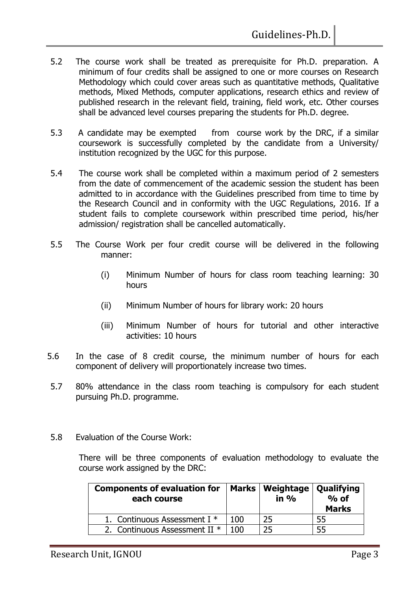- 5.2 The course work shall be treated as prerequisite for Ph.D. preparation. A minimum of four credits shall be assigned to one or more courses on Research Methodology which could cover areas such as quantitative methods, Qualitative methods, Mixed Methods, computer applications, research ethics and review of published research in the relevant field, training, field work, etc. Other courses shall be advanced level courses preparing the students for Ph.D. degree.
- 5.3 A candidate may be exempted from course work by the DRC, if a similar coursework is successfully completed by the candidate from a University/ institution recognized by the UGC for this purpose.
- 5.4 The course work shall be completed within a maximum period of 2 semesters from the date of commencement of the academic session the student has been admitted to in accordance with the Guidelines prescribed from time to time by the Research Council and in conformity with the UGC Regulations, 2016. If a student fails to complete coursework within prescribed time period, his/her admission/ registration shall be cancelled automatically.
- 5.5 The Course Work per four credit course will be delivered in the following manner:
	- (i) Minimum Number of hours for class room teaching learning: 30 hours
	- (ii) Minimum Number of hours for library work: 20 hours
	- (iii) Minimum Number of hours for tutorial and other interactive activities: 10 hours
- 5.6 In the case of 8 credit course, the minimum number of hours for each component of delivery will proportionately increase two times.
- 5.7 80% attendance in the class room teaching is compulsory for each student pursuing Ph.D. programme.
- 5.8 Evaluation of the Course Work:

There will be three components of evaluation methodology to evaluate the course work assigned by the DRC:

| <b>Components of evaluation for</b><br>each course |      | Marks   Weightage   Qualifying<br>in % | $%$ of<br><b>Marks</b> |
|----------------------------------------------------|------|----------------------------------------|------------------------|
| 1. Continuous Assessment I *                       | 100  | 25                                     | 55                     |
| 2. Continuous Assessment II $*$                    | 1 በበ | 25                                     | 55                     |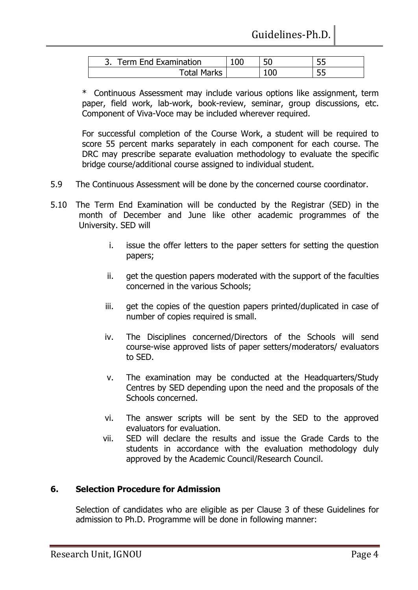| Term End Examination<br>∍ |    | ں ب |
|---------------------------|----|-----|
| <b>Total Marks</b>        | 00 | J J |

\* Continuous Assessment may include various options like assignment, term paper, field work, lab-work, book-review, seminar, group discussions, etc. Component of Viva-Voce may be included wherever required.

For successful completion of the Course Work, a student will be required to score 55 percent marks separately in each component for each course. The DRC may prescribe separate evaluation methodology to evaluate the specific bridge course/additional course assigned to individual student.

- 5.9 The Continuous Assessment will be done by the concerned course coordinator.
- 5.10 The Term End Examination will be conducted by the Registrar (SED) in the month of December and June like other academic programmes of the University. SED will
	- i. issue the offer letters to the paper setters for setting the question papers;
	- ii. get the question papers moderated with the support of the faculties concerned in the various Schools;
	- iii. get the copies of the question papers printed/duplicated in case of number of copies required is small.
	- iv. The Disciplines concerned/Directors of the Schools will send course-wise approved lists of paper setters/moderators/ evaluators to SED.
	- v. The examination may be conducted at the Headquarters/Study Centres by SED depending upon the need and the proposals of the Schools concerned.
	- vi. The answer scripts will be sent by the SED to the approved evaluators for evaluation.
	- vii. SED will declare the results and issue the Grade Cards to the students in accordance with the evaluation methodology duly approved by the Academic Council/Research Council.

#### **6. Selection Procedure for Admission**

Selection of candidates who are eligible as per Clause 3 of these Guidelines for admission to Ph.D. Programme will be done in following manner: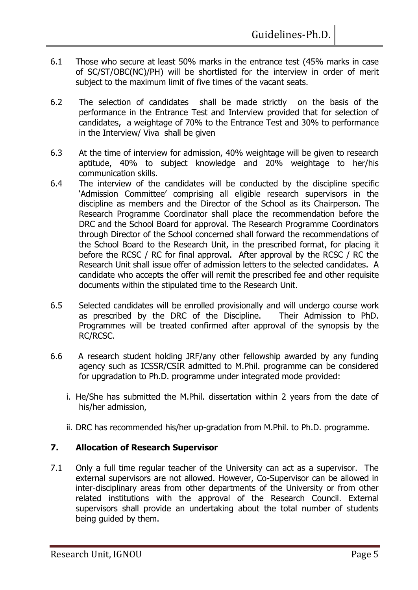- 6.1 Those who secure at least 50% marks in the entrance test (45% marks in case of SC/ST/OBC(NC)/PH) will be shortlisted for the interview in order of merit subject to the maximum limit of five times of the vacant seats.
- 6.2 The selection of candidates shall be made strictly on the basis of the performance in the Entrance Test and Interview provided that for selection of candidates, a weightage of 70% to the Entrance Test and 30% to performance in the Interview/ Viva shall be given
- 6.3 At the time of interview for admission, 40% weightage will be given to research aptitude, 40% to subject knowledge and 20% weightage to her/his communication skills.
- 6.4 The interview of the candidates will be conducted by the discipline specific 'Admission Committee' comprising all eligible research supervisors in the discipline as members and the Director of the School as its Chairperson. The Research Programme Coordinator shall place the recommendation before the DRC and the School Board for approval. The Research Programme Coordinators through Director of the School concerned shall forward the recommendations of the School Board to the Research Unit, in the prescribed format, for placing it before the RCSC / RC for final approval. After approval by the RCSC / RC the Research Unit shall issue offer of admission letters to the selected candidates. A candidate who accepts the offer will remit the prescribed fee and other requisite documents within the stipulated time to the Research Unit.
- 6.5 Selected candidates will be enrolled provisionally and will undergo course work as prescribed by the DRC of the Discipline. Their Admission to PhD. Programmes will be treated confirmed after approval of the synopsis by the RC/RCSC.
- 6.6 A research student holding JRF/any other fellowship awarded by any funding agency such as ICSSR/CSIR admitted to M.Phil. programme can be considered for upgradation to Ph.D. programme under integrated mode provided:
	- i. He/She has submitted the M.Phil. dissertation within 2 years from the date of his/her admission,
	- ii. DRC has recommended his/her up-gradation from M.Phil. to Ph.D. programme.

#### **7. Allocation of Research Supervisor**

7.1 Only a full time regular teacher of the University can act as a supervisor. The external supervisors are not allowed. However, Co-Supervisor can be allowed in inter-disciplinary areas from other departments of the University or from other related institutions with the approval of the Research Council. External supervisors shall provide an undertaking about the total number of students being guided by them.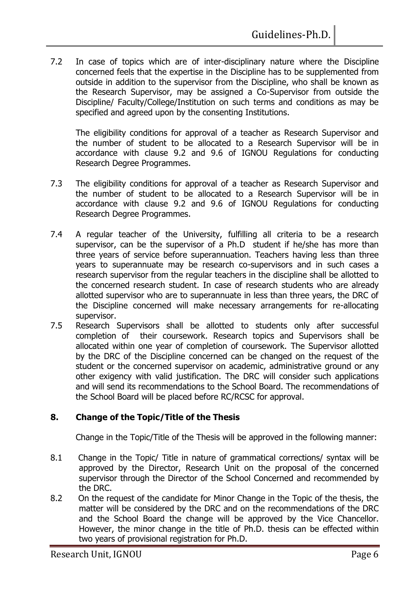7.2 In case of topics which are of inter-disciplinary nature where the Discipline concerned feels that the expertise in the Discipline has to be supplemented from outside in addition to the supervisor from the Discipline, who shall be known as the Research Supervisor, may be assigned a Co-Supervisor from outside the Discipline/ Faculty/College/Institution on such terms and conditions as may be specified and agreed upon by the consenting Institutions.

The eligibility conditions for approval of a teacher as Research Supervisor and the number of student to be allocated to a Research Supervisor will be in accordance with clause 9.2 and 9.6 of IGNOU Regulations for conducting Research Degree Programmes.

- 7.3 The eligibility conditions for approval of a teacher as Research Supervisor and the number of student to be allocated to a Research Supervisor will be in accordance with clause 9.2 and 9.6 of IGNOU Regulations for conducting Research Degree Programmes.
- 7.4 A regular teacher of the University, fulfilling all criteria to be a research supervisor, can be the supervisor of a Ph.D student if he/she has more than three years of service before superannuation. Teachers having less than three years to superannuate may be research co-supervisors and in such cases a research supervisor from the regular teachers in the discipline shall be allotted to the concerned research student. In case of research students who are already allotted supervisor who are to superannuate in less than three years, the DRC of the Discipline concerned will make necessary arrangements for re-allocating supervisor.
- 7.5 Research Supervisors shall be allotted to students only after successful completion of their coursework. Research topics and Supervisors shall be allocated within one year of completion of coursework. The Supervisor allotted by the DRC of the Discipline concerned can be changed on the request of the student or the concerned supervisor on academic, administrative ground or any other exigency with valid justification. The DRC will consider such applications and will send its recommendations to the School Board. The recommendations of the School Board will be placed before RC/RCSC for approval.

#### **8. Change of the Topic/Title of the Thesis**

Change in the Topic/Title of the Thesis will be approved in the following manner:

- 8.1 Change in the Topic/ Title in nature of grammatical corrections/ syntax will be approved by the Director, Research Unit on the proposal of the concerned supervisor through the Director of the School Concerned and recommended by the DRC.
- 8.2 On the request of the candidate for Minor Change in the Topic of the thesis, the matter will be considered by the DRC and on the recommendations of the DRC and the School Board the change will be approved by the Vice Chancellor. However, the minor change in the title of Ph.D. thesis can be effected within two years of provisional registration for Ph.D.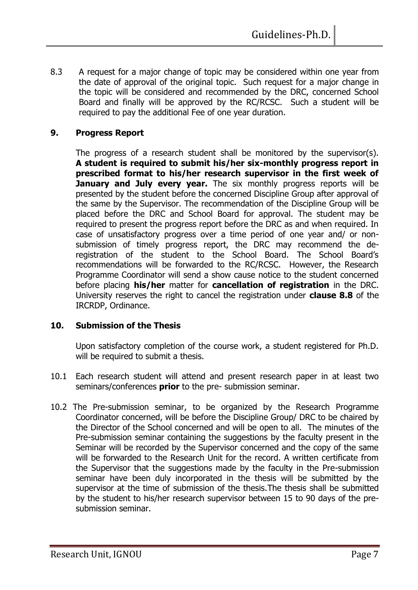8.3 A request for a major change of topic may be considered within one year from the date of approval of the original topic. Such request for a major change in the topic will be considered and recommended by the DRC, concerned School Board and finally will be approved by the RC/RCSC. Such a student will be required to pay the additional Fee of one year duration.

#### **9. Progress Report**

The progress of a research student shall be monitored by the supervisor(s). **A student is required to submit his/her six-monthly progress report in prescribed format to his/her research supervisor in the first week of January and July every year.** The six monthly progress reports will be presented by the student before the concerned Discipline Group after approval of the same by the Supervisor. The recommendation of the Discipline Group will be placed before the DRC and School Board for approval. The student may be required to present the progress report before the DRC as and when required. In case of unsatisfactory progress over a time period of one year and/ or nonsubmission of timely progress report, the DRC may recommend the deregistration of the student to the School Board. The School Board's recommendations will be forwarded to the RC/RCSC. However, the Research Programme Coordinator will send a show cause notice to the student concerned before placing **his/her** matter for **cancellation of registration** in the DRC. University reserves the right to cancel the registration under **clause 8.8** of the IRCRDP, Ordinance.

#### **10. Submission of the Thesis**

Upon satisfactory completion of the course work, a student registered for Ph.D. will be required to submit a thesis.

- 10.1 Each research student will attend and present research paper in at least two seminars/conferences **prior** to the pre- submission seminar.
- 10.2 The Pre-submission seminar, to be organized by the Research Programme Coordinator concerned, will be before the Discipline Group/ DRC to be chaired by the Director of the School concerned and will be open to all. The minutes of the Pre-submission seminar containing the suggestions by the faculty present in the Seminar will be recorded by the Supervisor concerned and the copy of the same will be forwarded to the Research Unit for the record. A written certificate from the Supervisor that the suggestions made by the faculty in the Pre-submission seminar have been duly incorporated in the thesis will be submitted by the supervisor at the time of submission of the thesis.The thesis shall be submitted by the student to his/her research supervisor between 15 to 90 days of the presubmission seminar.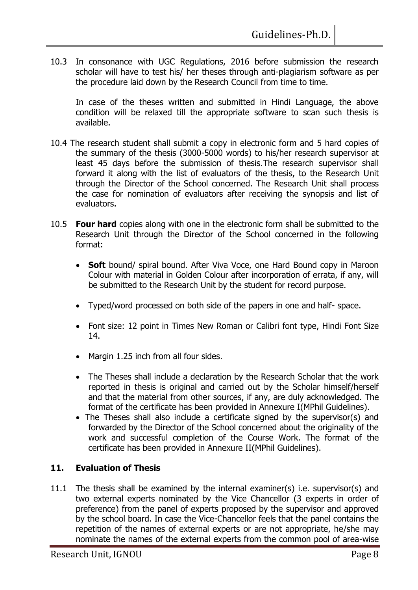10.3 In consonance with UGC Regulations, 2016 before submission the research scholar will have to test his/ her theses through anti-plagiarism software as per the procedure laid down by the Research Council from time to time.

In case of the theses written and submitted in Hindi Language, the above condition will be relaxed till the appropriate software to scan such thesis is available.

- 10.4 The research student shall submit a copy in electronic form and 5 hard copies of the summary of the thesis (3000-5000 words) to his/her research supervisor at least 45 days before the submission of thesis.The research supervisor shall forward it along with the list of evaluators of the thesis, to the Research Unit through the Director of the School concerned. The Research Unit shall process the case for nomination of evaluators after receiving the synopsis and list of evaluators.
- 10.5 **Four hard** copies along with one in the electronic form shall be submitted to the Research Unit through the Director of the School concerned in the following format:
	- **Soft** bound/ spiral bound. After Viva Voce, one Hard Bound copy in Maroon Colour with material in Golden Colour after incorporation of errata, if any, will be submitted to the Research Unit by the student for record purpose.
	- Typed/word processed on both side of the papers in one and half- space.
	- Font size: 12 point in Times New Roman or Calibri font type, Hindi Font Size 14.
	- Margin 1.25 inch from all four sides.
	- The Theses shall include a declaration by the Research Scholar that the work reported in thesis is original and carried out by the Scholar himself/herself and that the material from other sources, if any, are duly acknowledged. The format of the certificate has been provided in Annexure I(MPhil Guidelines).
	- The Theses shall also include a certificate signed by the supervisor(s) and forwarded by the Director of the School concerned about the originality of the work and successful completion of the Course Work. The format of the certificate has been provided in Annexure II(MPhil Guidelines).

#### **11. Evaluation of Thesis**

11.1 The thesis shall be examined by the internal examiner(s) i.e. supervisor(s) and two external experts nominated by the Vice Chancellor (3 experts in order of preference) from the panel of experts proposed by the supervisor and approved by the school board. In case the Vice-Chancellor feels that the panel contains the repetition of the names of external experts or are not appropriate, he/she may nominate the names of the external experts from the common pool of area-wise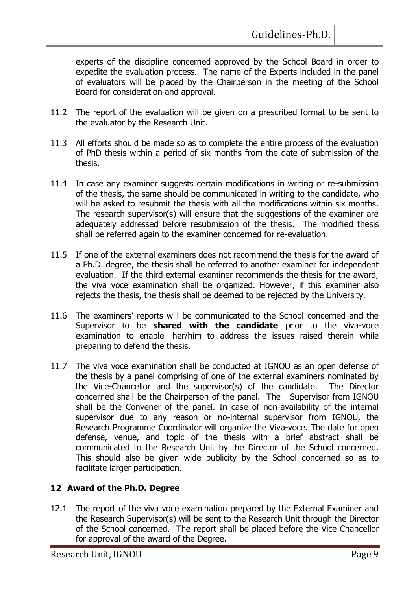experts of the discipline concerned approved by the School Board in order to expedite the evaluation process. The name of the Experts included in the panel of evaluators will be placed by the Chairperson in the meeting of the School Board for consideration and approval.

- 11.2 The report of the evaluation will be given on a prescribed format to be sent to the evaluator by the Research Unit.
- 11.3 All efforts should be made so as to complete the entire process of the evaluation of PhD thesis within a period of six months from the date of submission of the thesis.
- 11.4 In case any examiner suggests certain modifications in writing or re-submission of the thesis, the same should be communicated in writing to the candidate, who will be asked to resubmit the thesis with all the modifications within six months. The research supervisor(s) will ensure that the suggestions of the examiner are adequately addressed before resubmission of the thesis. The modified thesis shall be referred again to the examiner concerned for re-evaluation.
- 11.5 If one of the external examiners does not recommend the thesis for the award of a Ph.D. degree, the thesis shall be referred to another examiner for independent evaluation. If the third external examiner recommends the thesis for the award, the viva voce examination shall be organized. However, if this examiner also rejects the thesis, the thesis shall be deemed to be rejected by the University.
- 11.6 The examiners' reports will be communicated to the School concerned and the Supervisor to be **shared with the candidate** prior to the viva-voce examination to enable her/him to address the issues raised therein while preparing to defend the thesis.
- 11.7 The viva voce examination shall be conducted at IGNOU as an open defense of the thesis by a panel comprising of one of the external examiners nominated by the Vice-Chancellor and the supervisor(s) of the candidate. The Director concerned shall be the Chairperson of the panel. The Supervisor from IGNOU shall be the Convener of the panel. In case of non-availability of the internal supervisor due to any reason or no-internal supervisor from IGNOU, the Research Programme Coordinator will organize the Viva-voce. The date for open defense, venue, and topic of the thesis with a brief abstract shall be communicated to the Research Unit by the Director of the School concerned. This should also be given wide publicity by the School concerned so as to facilitate larger participation.

### **12 Award of the Ph.D. Degree**

12.1 The report of the viva voce examination prepared by the External Examiner and the Research Supervisor(s) will be sent to the Research Unit through the Director of the School concerned. The report shall be placed before the Vice Chancellor for approval of the award of the Degree.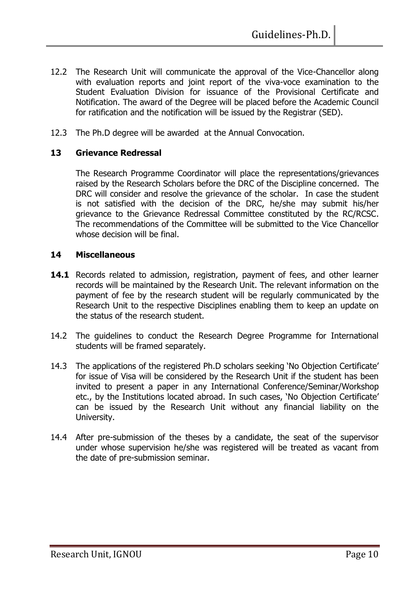- 12.2 The Research Unit will communicate the approval of the Vice-Chancellor along with evaluation reports and joint report of the viva-voce examination to the Student Evaluation Division for issuance of the Provisional Certificate and Notification. The award of the Degree will be placed before the Academic Council for ratification and the notification will be issued by the Registrar (SED).
- 12.3 The Ph.D degree will be awarded at the Annual Convocation.

#### **13 Grievance Redressal**

The Research Programme Coordinator will place the representations/grievances raised by the Research Scholars before the DRC of the Discipline concerned. The DRC will consider and resolve the grievance of the scholar. In case the student is not satisfied with the decision of the DRC, he/she may submit his/her grievance to the Grievance Redressal Committee constituted by the RC/RCSC. The recommendations of the Committee will be submitted to the Vice Chancellor whose decision will be final.

#### **14 Miscellaneous**

- **14.1** Records related to admission, registration, payment of fees, and other learner records will be maintained by the Research Unit. The relevant information on the payment of fee by the research student will be regularly communicated by the Research Unit to the respective Disciplines enabling them to keep an update on the status of the research student.
- 14.2 The guidelines to conduct the Research Degree Programme for International students will be framed separately.
- 14.3 The applications of the registered Ph.D scholars seeking 'No Objection Certificate' for issue of Visa will be considered by the Research Unit if the student has been invited to present a paper in any International Conference/Seminar/Workshop etc., by the Institutions located abroad. In such cases, 'No Objection Certificate' can be issued by the Research Unit without any financial liability on the University.
- 14.4 After pre-submission of the theses by a candidate, the seat of the supervisor under whose supervision he/she was registered will be treated as vacant from the date of pre-submission seminar.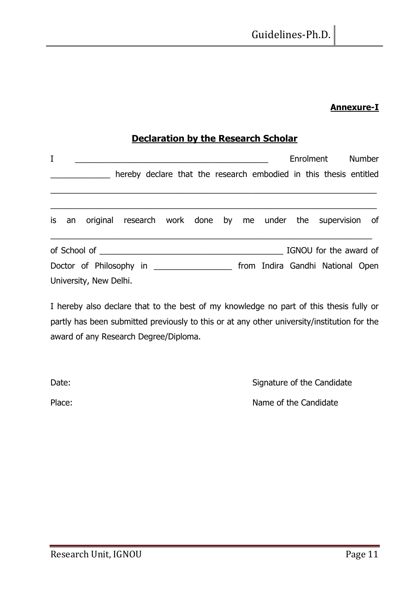#### **Annexure-I**

### **Declaration by the Research Scholar**

| I                      |  |                        |                                                                   |  |  |  |  |  | Enrolment Number                 |  |  |
|------------------------|--|------------------------|-------------------------------------------------------------------|--|--|--|--|--|----------------------------------|--|--|
|                        |  |                        | hereby declare that the research embodied in this thesis entitled |  |  |  |  |  |                                  |  |  |
|                        |  |                        |                                                                   |  |  |  |  |  |                                  |  |  |
| is                     |  |                        | an original research work done by me under the supervision of     |  |  |  |  |  |                                  |  |  |
| IGNOU for the award of |  |                        |                                                                   |  |  |  |  |  |                                  |  |  |
|                        |  |                        | Doctor of Philosophy in                                           |  |  |  |  |  | from Indira Gandhi National Open |  |  |
|                        |  | University, New Delhi. |                                                                   |  |  |  |  |  |                                  |  |  |

I hereby also declare that to the best of my knowledge no part of this thesis fully or partly has been submitted previously to this or at any other university/institution for the award of any Research Degree/Diploma.

Date: Date: Signature of the Candidate

Place: Place: Place: Name of the Candidate